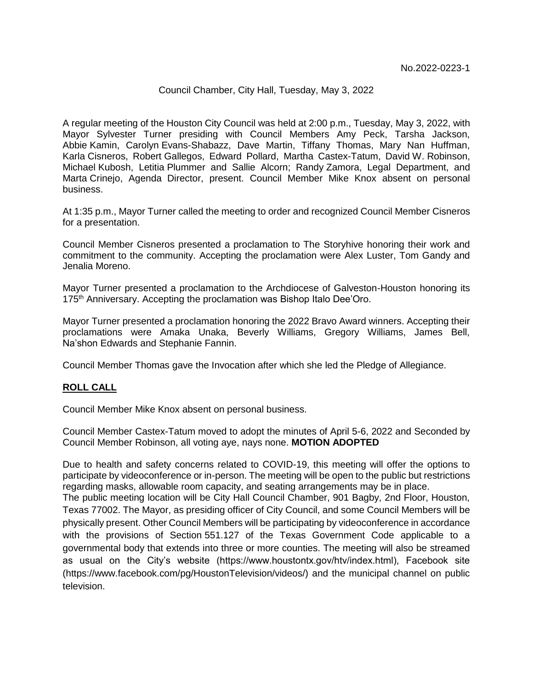### Council Chamber, City Hall, Tuesday, May 3, 2022

A regular meeting of the Houston City Council was held at 2:00 p.m., Tuesday, May 3, 2022, with Mayor Sylvester Turner presiding with Council Members Amy Peck, Tarsha Jackson, Abbie Kamin, Carolyn Evans-Shabazz, Dave Martin, Tiffany Thomas, Mary Nan Huffman, Karla Cisneros, Robert Gallegos, Edward Pollard, Martha Castex-Tatum, David W. Robinson, Michael Kubosh, Letitia Plummer and Sallie Alcorn; Randy Zamora, Legal Department, and Marta Crinejo, Agenda Director, present. Council Member Mike Knox absent on personal business.

At 1:35 p.m., Mayor Turner called the meeting to order and recognized Council Member Cisneros for a presentation.

Council Member Cisneros presented a proclamation to The Storyhive honoring their work and commitment to the community. Accepting the proclamation were Alex Luster, Tom Gandy and Jenalia Moreno.

Mayor Turner presented a proclamation to the Archdiocese of Galveston-Houston honoring its 175<sup>th</sup> Anniversary. Accepting the proclamation was Bishop Italo Dee'Oro.

Mayor Turner presented a proclamation honoring the 2022 Bravo Award winners. Accepting their proclamations were Amaka Unaka, Beverly Williams, Gregory Williams, James Bell, Na'shon Edwards and Stephanie Fannin.

Council Member Thomas gave the Invocation after which she led the Pledge of Allegiance.

## **ROLL CALL**

Council Member Mike Knox absent on personal business.

Council Member Castex-Tatum moved to adopt the minutes of April 5-6, 2022 and Seconded by Council Member Robinson, all voting aye, nays none. **MOTION ADOPTED**

Due to health and safety concerns related to COVID-19, this meeting will offer the options to participate by videoconference or in-person. The meeting will be open to the public but restrictions regarding masks, allowable room capacity, and seating arrangements may be in place.

The public meeting location will be City Hall Council Chamber, 901 Bagby, 2nd Floor, Houston, Texas 77002. The Mayor, as presiding officer of City Council, and some Council Members will be physically present. Other Council Members will be participating by videoconference in accordance with the provisions of Section 551.127 of the Texas Government Code applicable to a governmental body that extends into three or more counties. The meeting will also be streamed as usual on the City's website (https://www.houstontx.gov/htv/index.html), Facebook site (https://www.facebook.com/pg/HoustonTelevision/videos/) and the municipal channel on public television.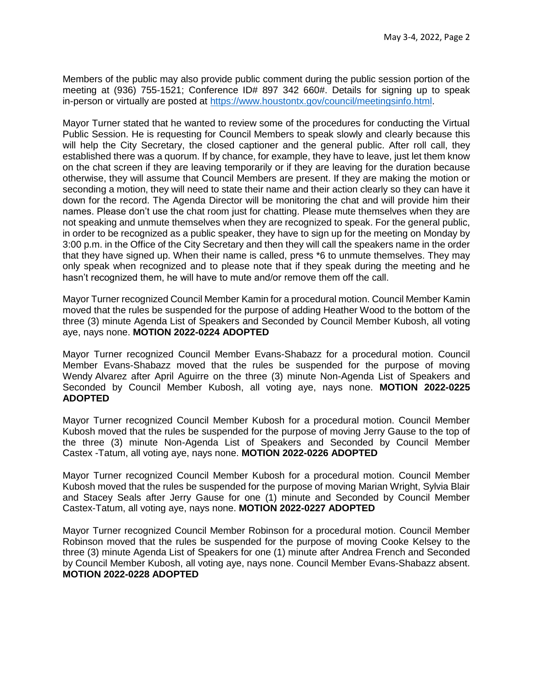Members of the public may also provide public comment during the public session portion of the meeting at (936) 755-1521; Conference ID# 897 342 660#. Details for signing up to speak in-person or virtually are posted at [https://www.houstontx.gov/council/meetingsinfo.html.](https://www.houstontx.gov/council/meetingsinfo.html)

Mayor Turner stated that he wanted to review some of the procedures for conducting the Virtual Public Session. He is requesting for Council Members to speak slowly and clearly because this will help the City Secretary, the closed captioner and the general public. After roll call, they established there was a quorum. If by chance, for example, they have to leave, just let them know on the chat screen if they are leaving temporarily or if they are leaving for the duration because otherwise, they will assume that Council Members are present. If they are making the motion or seconding a motion, they will need to state their name and their action clearly so they can have it down for the record. The Agenda Director will be monitoring the chat and will provide him their names. Please don't use the chat room just for chatting. Please mute themselves when they are not speaking and unmute themselves when they are recognized to speak. For the general public, in order to be recognized as a public speaker, they have to sign up for the meeting on Monday by 3:00 p.m. in the Office of the City Secretary and then they will call the speakers name in the order that they have signed up. When their name is called, press \*6 to unmute themselves. They may only speak when recognized and to please note that if they speak during the meeting and he hasn't recognized them, he will have to mute and/or remove them off the call.

Mayor Turner recognized Council Member Kamin for a procedural motion. Council Member Kamin moved that the rules be suspended for the purpose of adding Heather Wood to the bottom of the three (3) minute Agenda List of Speakers and Seconded by Council Member Kubosh, all voting aye, nays none. **MOTION 2022-0224 ADOPTED**

Mayor Turner recognized Council Member Evans-Shabazz for a procedural motion. Council Member Evans-Shabazz moved that the rules be suspended for the purpose of moving Wendy Alvarez after April Aguirre on the three (3) minute Non-Agenda List of Speakers and Seconded by Council Member Kubosh, all voting aye, nays none. **MOTION 2022-0225 ADOPTED**

Mayor Turner recognized Council Member Kubosh for a procedural motion. Council Member Kubosh moved that the rules be suspended for the purpose of moving Jerry Gause to the top of the three (3) minute Non-Agenda List of Speakers and Seconded by Council Member Castex -Tatum, all voting aye, nays none. **MOTION 2022-0226 ADOPTED**

Mayor Turner recognized Council Member Kubosh for a procedural motion. Council Member Kubosh moved that the rules be suspended for the purpose of moving Marian Wright, Sylvia Blair and Stacey Seals after Jerry Gause for one (1) minute and Seconded by Council Member Castex-Tatum, all voting aye, nays none. **MOTION 2022-0227 ADOPTED**

Mayor Turner recognized Council Member Robinson for a procedural motion. Council Member Robinson moved that the rules be suspended for the purpose of moving Cooke Kelsey to the three (3) minute Agenda List of Speakers for one (1) minute after Andrea French and Seconded by Council Member Kubosh, all voting aye, nays none. Council Member Evans-Shabazz absent. **MOTION 2022-0228 ADOPTED**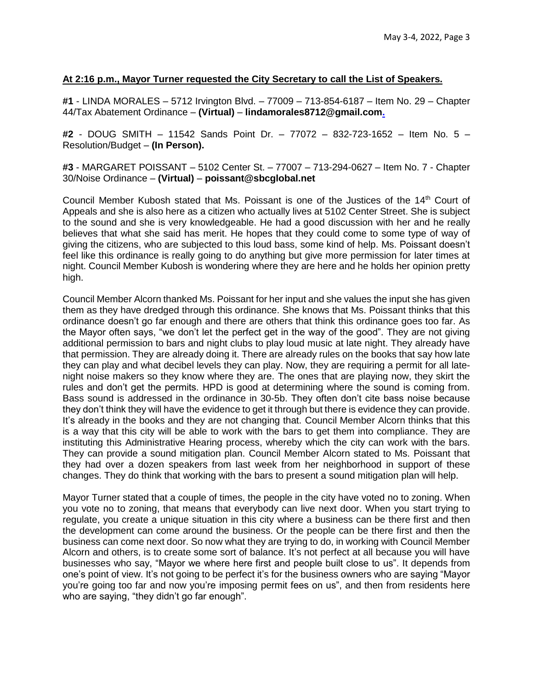### **At 2:16 p.m., Mayor Turner requested the City Secretary to call the List of Speakers.**

**#1** - LINDA MORALES – 5712 Irvington Blvd. – 77009 – 713-854-6187 – Item No. 29 – Chapter 44/Tax Abatement Ordinance – **(Virtual)** – **lindamorales8712@gmail.com.**

**#2** - DOUG SMITH – 11542 Sands Point Dr. – 77072 – 832-723-1652 – Item No. 5 – Resolution/Budget – **(In Person).**

**#3** - MARGARET POISSANT – 5102 Center St. – 77007 – 713-294-0627 – Item No. 7 - Chapter 30/Noise Ordinance – **(Virtual)** – **poissant@sbcglobal.net**

Council Member Kubosh stated that Ms. Poissant is one of the Justices of the 14<sup>th</sup> Court of Appeals and she is also here as a citizen who actually lives at 5102 Center Street. She is subject to the sound and she is very knowledgeable. He had a good discussion with her and he really believes that what she said has merit. He hopes that they could come to some type of way of giving the citizens, who are subjected to this loud bass, some kind of help. Ms. Poissant doesn't feel like this ordinance is really going to do anything but give more permission for later times at night. Council Member Kubosh is wondering where they are here and he holds her opinion pretty high.

Council Member Alcorn thanked Ms. Poissant for her input and she values the input she has given them as they have dredged through this ordinance. She knows that Ms. Poissant thinks that this ordinance doesn't go far enough and there are others that think this ordinance goes too far. As the Mayor often says, "we don't let the perfect get in the way of the good". They are not giving additional permission to bars and night clubs to play loud music at late night. They already have that permission. They are already doing it. There are already rules on the books that say how late they can play and what decibel levels they can play. Now, they are requiring a permit for all latenight noise makers so they know where they are. The ones that are playing now, they skirt the rules and don't get the permits. HPD is good at determining where the sound is coming from. Bass sound is addressed in the ordinance in 30-5b. They often don't cite bass noise because they don't think they will have the evidence to get it through but there is evidence they can provide. It's already in the books and they are not changing that. Council Member Alcorn thinks that this is a way that this city will be able to work with the bars to get them into compliance. They are instituting this Administrative Hearing process, whereby which the city can work with the bars. They can provide a sound mitigation plan. Council Member Alcorn stated to Ms. Poissant that they had over a dozen speakers from last week from her neighborhood in support of these changes. They do think that working with the bars to present a sound mitigation plan will help.

Mayor Turner stated that a couple of times, the people in the city have voted no to zoning. When you vote no to zoning, that means that everybody can live next door. When you start trying to regulate, you create a unique situation in this city where a business can be there first and then the development can come around the business. Or the people can be there first and then the business can come next door. So now what they are trying to do, in working with Council Member Alcorn and others, is to create some sort of balance. It's not perfect at all because you will have businesses who say, "Mayor we where here first and people built close to us". It depends from one's point of view. It's not going to be perfect it's for the business owners who are saying "Mayor you're going too far and now you're imposing permit fees on us", and then from residents here who are saying, "they didn't go far enough".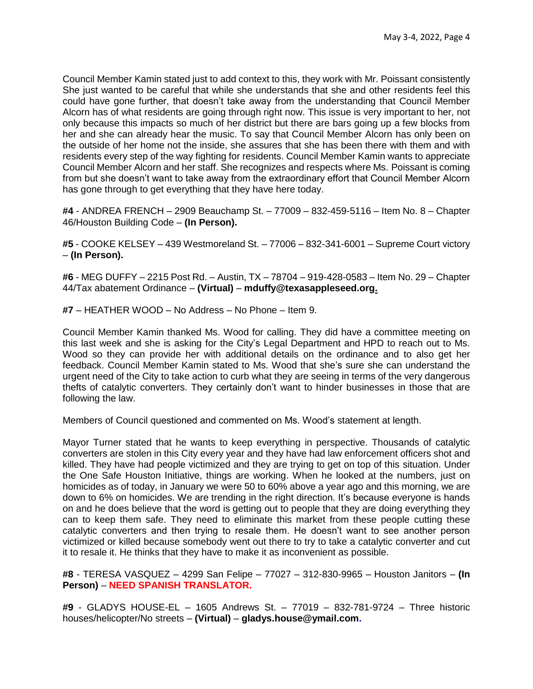Council Member Kamin stated just to add context to this, they work with Mr. Poissant consistently She just wanted to be careful that while she understands that she and other residents feel this could have gone further, that doesn't take away from the understanding that Council Member Alcorn has of what residents are going through right now. This issue is very important to her, not only because this impacts so much of her district but there are bars going up a few blocks from her and she can already hear the music. To say that Council Member Alcorn has only been on the outside of her home not the inside, she assures that she has been there with them and with residents every step of the way fighting for residents. Council Member Kamin wants to appreciate Council Member Alcorn and her staff. She recognizes and respects where Ms. Poissant is coming from but she doesn't want to take away from the extraordinary effort that Council Member Alcorn has gone through to get everything that they have here today.

**#4** - ANDREA FRENCH – 2909 Beauchamp St. – 77009 – 832-459-5116 – Item No. 8 – Chapter 46/Houston Building Code – **(In Person).**

**#5** - COOKE KELSEY – 439 Westmoreland St. – 77006 – 832-341-6001 – Supreme Court victory – **(In Person).**

**#6** - MEG DUFFY – 2215 Post Rd. – Austin, TX – 78704 – 919-428-0583 – Item No. 29 – Chapter 44/Tax abatement Ordinance – **(Virtual)** – **mduffy@texasappleseed.org.**

**#7** – HEATHER WOOD – No Address – No Phone – Item 9.

Council Member Kamin thanked Ms. Wood for calling. They did have a committee meeting on this last week and she is asking for the City's Legal Department and HPD to reach out to Ms. Wood so they can provide her with additional details on the ordinance and to also get her feedback. Council Member Kamin stated to Ms. Wood that she's sure she can understand the urgent need of the City to take action to curb what they are seeing in terms of the very dangerous thefts of catalytic converters. They certainly don't want to hinder businesses in those that are following the law.

Members of Council questioned and commented on Ms. Wood's statement at length.

Mayor Turner stated that he wants to keep everything in perspective. Thousands of catalytic converters are stolen in this City every year and they have had law enforcement officers shot and killed. They have had people victimized and they are trying to get on top of this situation. Under the One Safe Houston Initiative, things are working. When he looked at the numbers, just on homicides as of today, in January we were 50 to 60% above a year ago and this morning, we are down to 6% on homicides. We are trending in the right direction. It's because everyone is hands on and he does believe that the word is getting out to people that they are doing everything they can to keep them safe. They need to eliminate this market from these people cutting these catalytic converters and then trying to resale them. He doesn't want to see another person victimized or killed because somebody went out there to try to take a catalytic converter and cut it to resale it. He thinks that they have to make it as inconvenient as possible.

**#8** - TERESA VASQUEZ – 4299 San Felipe – 77027 – 312-830-9965 – Houston Janitors – **(In Person)** – **NEED SPANISH TRANSLATOR.**

**#9** - GLADYS HOUSE-EL – 1605 Andrews St. – 77019 – 832-781-9724 – Three historic houses/helicopter/No streets – **(Virtual)** – **gladys.house@ymail.com.**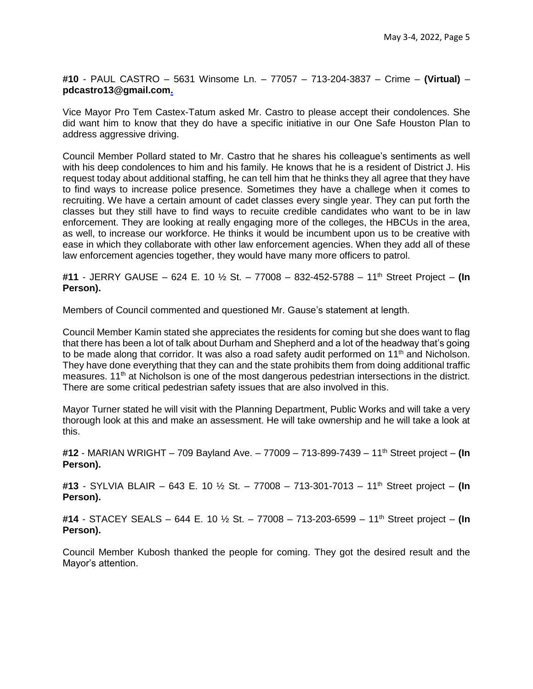**#10** - PAUL CASTRO – 5631 Winsome Ln. – 77057 – 713-204-3837 – Crime – **(Virtual)** – **pdcastro13@gmail.com.**

Vice Mayor Pro Tem Castex-Tatum asked Mr. Castro to please accept their condolences. She did want him to know that they do have a specific initiative in our One Safe Houston Plan to address aggressive driving.

Council Member Pollard stated to Mr. Castro that he shares his colleague's sentiments as well with his deep condolences to him and his family. He knows that he is a resident of District J. His request today about additional staffing, he can tell him that he thinks they all agree that they have to find ways to increase police presence. Sometimes they have a challege when it comes to recruiting. We have a certain amount of cadet classes every single year. They can put forth the classes but they still have to find ways to recuite credible candidates who want to be in law enforcement. They are looking at really engaging more of the colleges, the HBCUs in the area, as well, to increase our workforce. He thinks it would be incumbent upon us to be creative with ease in which they collaborate with other law enforcement agencies. When they add all of these law enforcement agencies together, they would have many more officers to patrol.

**#11** - JERRY GAUSE – 624 E. 10 ½ St. – 77008 – 832-452-5788 – 11th Street Project – **(In Person).**

Members of Council commented and questioned Mr. Gause's statement at length.

Council Member Kamin stated she appreciates the residents for coming but she does want to flag that there has been a lot of talk about Durham and Shepherd and a lot of the headway that's going to be made along that corridor. It was also a road safety audit performed on 11<sup>th</sup> and Nicholson. They have done everything that they can and the state prohibits them from doing additional traffic measures.  $11<sup>th</sup>$  at Nicholson is one of the most dangerous pedestrian intersections in the district. There are some critical pedestrian safety issues that are also involved in this.

Mayor Turner stated he will visit with the Planning Department, Public Works and will take a very thorough look at this and make an assessment. He will take ownership and he will take a look at this.

**#12** - MARIAN WRIGHT – 709 Bayland Ave. – 77009 – 713-899-7439 – 11th Street project – **(In Person).**

**#13** - SYLVIA BLAIR – 643 E. 10 ½ St. – 77008 – 713-301-7013 – 11th Street project – **(In Person).**

**#14** - STACEY SEALS – 644 E. 10 ½ St. – 77008 – 713-203-6599 – 11th Street project – **(In Person).**

Council Member Kubosh thanked the people for coming. They got the desired result and the Mayor's attention.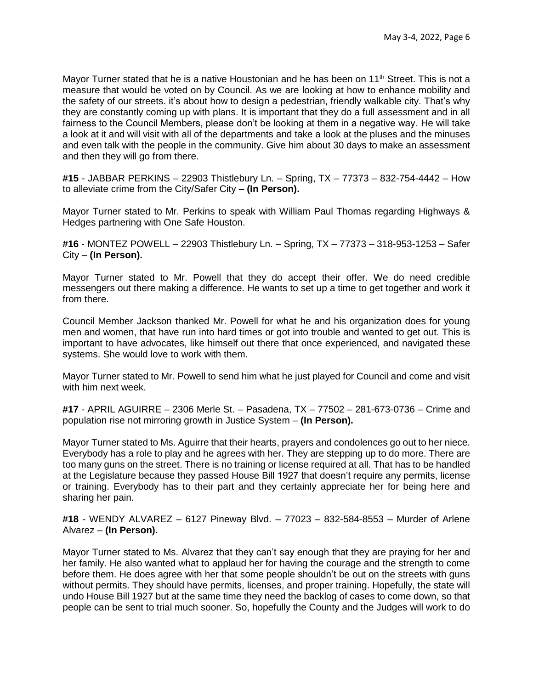Mayor Turner stated that he is a native Houstonian and he has been on 11<sup>th</sup> Street. This is not a measure that would be voted on by Council. As we are looking at how to enhance mobility and the safety of our streets. it's about how to design a pedestrian, friendly walkable city. That's why they are constantly coming up with plans. It is important that they do a full assessment and in all fairness to the Council Members, please don't be looking at them in a negative way. He will take a look at it and will visit with all of the departments and take a look at the pluses and the minuses and even talk with the people in the community. Give him about 30 days to make an assessment and then they will go from there.

**#15** - JABBAR PERKINS – 22903 Thistlebury Ln. – Spring, TX – 77373 – 832-754-4442 – How to alleviate crime from the City/Safer City – **(In Person).**

Mayor Turner stated to Mr. Perkins to speak with William Paul Thomas regarding Highways & Hedges partnering with One Safe Houston.

**#16** - MONTEZ POWELL – 22903 Thistlebury Ln. – Spring, TX – 77373 – 318-953-1253 – Safer City – **(In Person).**

Mayor Turner stated to Mr. Powell that they do accept their offer. We do need credible messengers out there making a difference. He wants to set up a time to get together and work it from there.

Council Member Jackson thanked Mr. Powell for what he and his organization does for young men and women, that have run into hard times or got into trouble and wanted to get out. This is important to have advocates, like himself out there that once experienced, and navigated these systems. She would love to work with them.

Mayor Turner stated to Mr. Powell to send him what he just played for Council and come and visit with him next week.

**#17** - APRIL AGUIRRE – 2306 Merle St. – Pasadena, TX – 77502 – 281-673-0736 – Crime and population rise not mirroring growth in Justice System – **(In Person).**

Mayor Turner stated to Ms. Aguirre that their hearts, prayers and condolences go out to her niece. Everybody has a role to play and he agrees with her. They are stepping up to do more. There are too many guns on the street. There is no training or license required at all. That has to be handled at the Legislature because they passed House Bill 1927 that doesn't require any permits, license or training. Everybody has to their part and they certainly appreciate her for being here and sharing her pain.

**#18** - WENDY ALVAREZ – 6127 Pineway Blvd. – 77023 – 832-584-8553 – Murder of Arlene Alvarez – **(In Person).**

Mayor Turner stated to Ms. Alvarez that they can't say enough that they are praying for her and her family. He also wanted what to applaud her for having the courage and the strength to come before them. He does agree with her that some people shouldn't be out on the streets with guns without permits. They should have permits, licenses, and proper training. Hopefully, the state will undo House Bill 1927 but at the same time they need the backlog of cases to come down, so that people can be sent to trial much sooner. So, hopefully the County and the Judges will work to do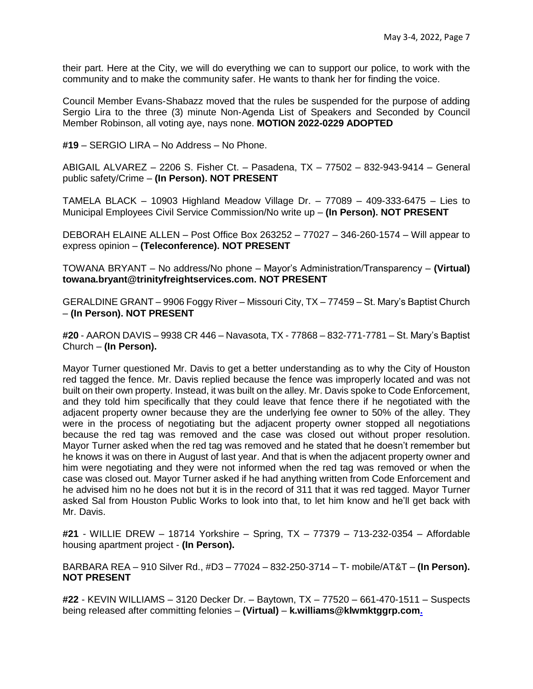their part. Here at the City, we will do everything we can to support our police, to work with the community and to make the community safer. He wants to thank her for finding the voice.

Council Member Evans-Shabazz moved that the rules be suspended for the purpose of adding Sergio Lira to the three (3) minute Non-Agenda List of Speakers and Seconded by Council Member Robinson, all voting aye, nays none. **MOTION 2022-0229 ADOPTED** 

**#19** – SERGIO LIRA – No Address – No Phone.

ABIGAIL ALVAREZ – 2206 S. Fisher Ct. – Pasadena, TX – 77502 – 832-943-9414 – General public safety/Crime – **(In Person). NOT PRESENT**

TAMELA BLACK – 10903 Highland Meadow Village Dr. – 77089 – 409-333-6475 – Lies to Municipal Employees Civil Service Commission/No write up – **(In Person). NOT PRESENT**

DEBORAH ELAINE ALLEN – Post Office Box 263252 – 77027 – 346-260-1574 – Will appear to express opinion – **(Teleconference). NOT PRESENT**

TOWANA BRYANT – No address/No phone – Mayor's Administration/Transparency – **(Virtual) towana.bryant@trinityfreightservices.com. NOT PRESENT**

GERALDINE GRANT – 9906 Foggy River – Missouri City, TX – 77459 – St. Mary's Baptist Church – **(In Person). NOT PRESENT**

**#20** - AARON DAVIS – 9938 CR 446 – Navasota, TX - 77868 – 832-771-7781 – St. Mary's Baptist Church – **(In Person).**

Mayor Turner questioned Mr. Davis to get a better understanding as to why the City of Houston red tagged the fence. Mr. Davis replied because the fence was improperly located and was not built on their own property. Instead, it was built on the alley. Mr. Davis spoke to Code Enforcement, and they told him specifically that they could leave that fence there if he negotiated with the adjacent property owner because they are the underlying fee owner to 50% of the alley. They were in the process of negotiating but the adjacent property owner stopped all negotiations because the red tag was removed and the case was closed out without proper resolution. Mayor Turner asked when the red tag was removed and he stated that he doesn't remember but he knows it was on there in August of last year. And that is when the adjacent property owner and him were negotiating and they were not informed when the red tag was removed or when the case was closed out. Mayor Turner asked if he had anything written from Code Enforcement and he advised him no he does not but it is in the record of 311 that it was red tagged. Mayor Turner asked Sal from Houston Public Works to look into that, to let him know and he'll get back with Mr. Davis.

**#21** - WILLIE DREW – 18714 Yorkshire – Spring, TX – 77379 – 713-232-0354 – Affordable housing apartment project - **(In Person).**

BARBARA REA – 910 Silver Rd., #D3 – 77024 – 832-250-3714 – T- mobile/AT&T – **(In Person). NOT PRESENT**

**#22** - KEVIN WILLIAMS – 3120 Decker Dr. – Baytown, TX – 77520 – 661-470-1511 – Suspects being released after committing felonies – **(Virtual)** – **k.williams@klwmktggrp.com.**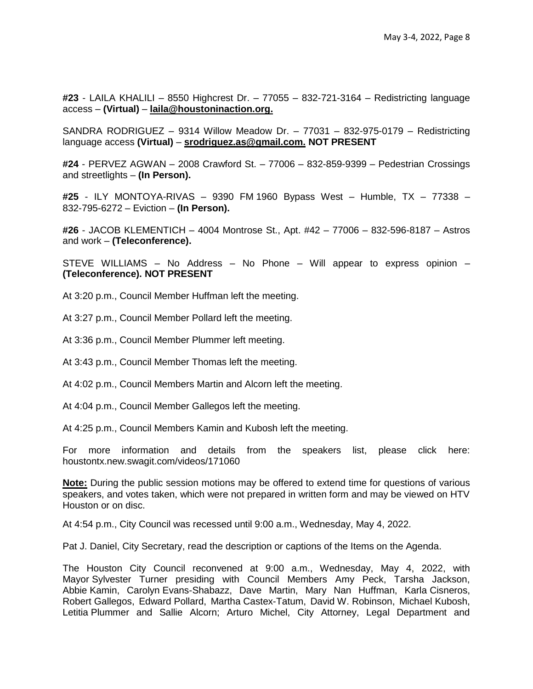**#23** - LAILA KHALILI – 8550 Highcrest Dr. – 77055 – 832-721-3164 – Redistricting language access – **(Virtual)** – **laila@houstoninaction.org.**

SANDRA RODRIGUEZ – 9314 Willow Meadow Dr. – 77031 – 832-975-0179 – Redistricting language access **(Virtual)** – **srodriguez.as@gmail.com. NOT PRESENT**

**#24** - PERVEZ AGWAN – 2008 Crawford St. – 77006 – 832-859-9399 – Pedestrian Crossings and streetlights – **(In Person).**

**#25** - ILY MONTOYA-RIVAS – 9390 FM 1960 Bypass West – Humble, TX – 77338 – 832-795-6272 – Eviction – **(In Person).**

**#26** - JACOB KLEMENTICH – 4004 Montrose St., Apt. #42 – 77006 – 832-596-8187 – Astros and work – **(Teleconference).**

STEVE WILLIAMS – No Address – No Phone – Will appear to express opinion – **(Teleconference). NOT PRESENT**

At 3:20 p.m., Council Member Huffman left the meeting.

At 3:27 p.m., Council Member Pollard left the meeting.

At 3:36 p.m., Council Member Plummer left meeting.

At 3:43 p.m., Council Member Thomas left the meeting.

At 4:02 p.m., Council Members Martin and Alcorn left the meeting.

At 4:04 p.m., Council Member Gallegos left the meeting.

At 4:25 p.m., Council Members Kamin and Kubosh left the meeting.

For more information and details from the speakers list, please click here: houstontx.new.swagit.com/videos/171060

**Note:** During the public session motions may be offered to extend time for questions of various speakers, and votes taken, which were not prepared in written form and may be viewed on HTV Houston or on disc.

At 4:54 p.m., City Council was recessed until 9:00 a.m., Wednesday, May 4, 2022.

Pat J. Daniel, City Secretary, read the description or captions of the Items on the Agenda.

The Houston City Council reconvened at 9:00 a.m., Wednesday, May 4, 2022, with Mayor Sylvester Turner presiding with Council Members Amy Peck, Tarsha Jackson, Abbie Kamin, Carolyn Evans-Shabazz, Dave Martin, Mary Nan Huffman, Karla Cisneros, Robert Gallegos, Edward Pollard, Martha Castex-Tatum, David W. Robinson, Michael Kubosh, Letitia Plummer and Sallie Alcorn; Arturo Michel, City Attorney, Legal Department and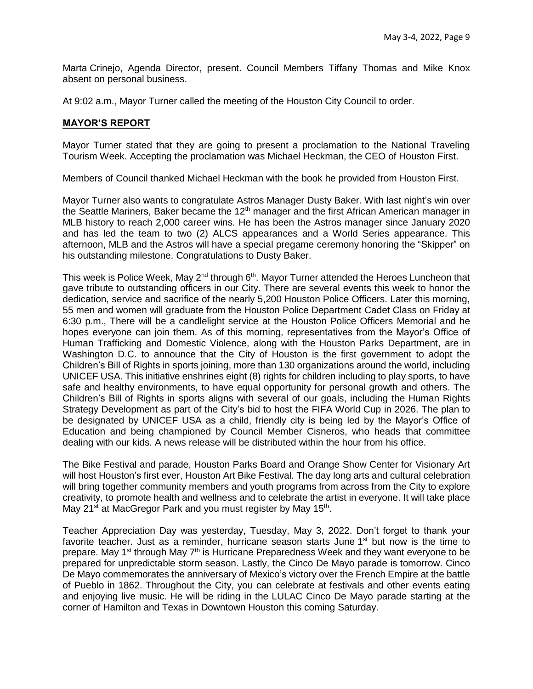Marta Crinejo, Agenda Director, present. Council Members Tiffany Thomas and Mike Knox absent on personal business.

At 9:02 a.m., Mayor Turner called the meeting of the Houston City Council to order.

### **MAYOR'S REPORT**

Mayor Turner stated that they are going to present a proclamation to the National Traveling Tourism Week. Accepting the proclamation was Michael Heckman, the CEO of Houston First.

Members of Council thanked Michael Heckman with the book he provided from Houston First.

Mayor Turner also wants to congratulate Astros Manager Dusty Baker. With last night's win over the Seattle Mariners, Baker became the 12<sup>th</sup> manager and the first African American manager in MLB history to reach 2,000 career wins. He has been the Astros manager since January 2020 and has led the team to two (2) ALCS appearances and a World Series appearance. This afternoon, MLB and the Astros will have a special pregame ceremony honoring the "Skipper" on his outstanding milestone. Congratulations to Dusty Baker.

This week is Police Week, May 2<sup>nd</sup> through 6<sup>th</sup>. Mayor Turner attended the Heroes Luncheon that gave tribute to outstanding officers in our City. There are several events this week to honor the dedication, service and sacrifice of the nearly 5,200 Houston Police Officers. Later this morning, 55 men and women will graduate from the Houston Police Department Cadet Class on Friday at 6:30 p.m., There will be a candlelight service at the Houston Police Officers Memorial and he hopes everyone can join them. As of this morning, representatives from the Mayor's Office of Human Trafficking and Domestic Violence, along with the Houston Parks Department, are in Washington D.C. to announce that the City of Houston is the first government to adopt the Children's Bill of Rights in sports joining, more than 130 organizations around the world, including UNICEF USA. This initiative enshrines eight (8) rights for children including to play sports, to have safe and healthy environments, to have equal opportunity for personal growth and others. The Children's Bill of Rights in sports aligns with several of our goals, including the Human Rights Strategy Development as part of the City's bid to host the FIFA World Cup in 2026. The plan to be designated by UNICEF USA as a child, friendly city is being led by the Mayor's Office of Education and being championed by Council Member Cisneros, who heads that committee dealing with our kids. A news release will be distributed within the hour from his office.

The Bike Festival and parade, Houston Parks Board and Orange Show Center for Visionary Art will host Houston's first ever, Houston Art Bike Festival. The day long arts and cultural celebration will bring together community members and youth programs from across from the City to explore creativity, to promote health and wellness and to celebrate the artist in everyone. It will take place May 21<sup>st</sup> at MacGregor Park and you must register by May 15<sup>th</sup>.

Teacher Appreciation Day was yesterday, Tuesday, May 3, 2022. Don't forget to thank your favorite teacher. Just as a reminder, hurricane season starts June 1<sup>st</sup> but now is the time to prepare. May 1<sup>st</sup> through May  $7<sup>th</sup>$  is Hurricane Preparedness Week and they want everyone to be prepared for unpredictable storm season. Lastly, the Cinco De Mayo parade is tomorrow. Cinco De Mayo commemorates the anniversary of Mexico's victory over the French Empire at the battle of Pueblo in 1862. Throughout the City, you can celebrate at festivals and other events eating and enjoying live music. He will be riding in the LULAC Cinco De Mayo parade starting at the corner of Hamilton and Texas in Downtown Houston this coming Saturday.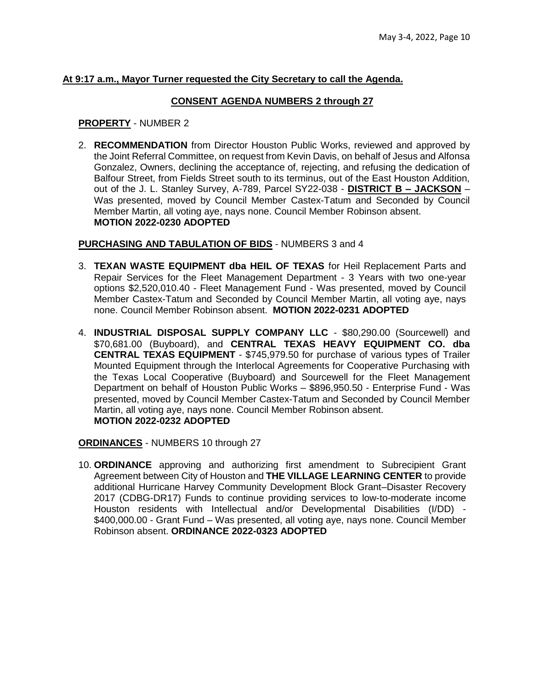### **At 9:17 a.m., Mayor Turner requested the City Secretary to call the Agenda.**

### **CONSENT AGENDA NUMBERS 2 through 27**

### **PROPERTY** - NUMBER 2

2. **RECOMMENDATION** from Director Houston Public Works, reviewed and approved by the Joint Referral Committee, on request from Kevin Davis, on behalf of Jesus and Alfonsa Gonzalez, Owners, declining the acceptance of, rejecting, and refusing the dedication of Balfour Street, from Fields Street south to its terminus, out of the East Houston Addition, out of the J. L. Stanley Survey, A-789, Parcel SY22-038 - **DISTRICT B – JACKSON** – Was presented, moved by Council Member Castex-Tatum and Seconded by Council Member Martin, all voting aye, nays none. Council Member Robinson absent. **MOTION 2022-0230 ADOPTED**

## **PURCHASING AND TABULATION OF BIDS** - NUMBERS 3 and 4

- 3. **TEXAN WASTE EQUIPMENT dba HEIL OF TEXAS** for Heil Replacement Parts and Repair Services for the Fleet Management Department - 3 Years with two one-year options \$2,520,010.40 - Fleet Management Fund - Was presented, moved by Council Member Castex-Tatum and Seconded by Council Member Martin, all voting aye, nays none. Council Member Robinson absent. **MOTION 2022-0231 ADOPTED**
- 4. **INDUSTRIAL DISPOSAL SUPPLY COMPANY LLC** \$80,290.00 (Sourcewell) and \$70,681.00 (Buyboard), and **CENTRAL TEXAS HEAVY EQUIPMENT CO. dba CENTRAL TEXAS EQUIPMENT** - \$745,979.50 for purchase of various types of Trailer Mounted Equipment through the Interlocal Agreements for Cooperative Purchasing with the Texas Local Cooperative (Buyboard) and Sourcewell for the Fleet Management Department on behalf of Houston Public Works – \$896,950.50 - Enterprise Fund - Was presented, moved by Council Member Castex-Tatum and Seconded by Council Member Martin, all voting aye, nays none. Council Member Robinson absent. **MOTION 2022-0232 ADOPTED**

**ORDINANCES** - NUMBERS 10 through 27

10. **ORDINANCE** approving and authorizing first amendment to Subrecipient Grant Agreement between City of Houston and **THE VILLAGE LEARNING CENTER** to provide additional Hurricane Harvey Community Development Block Grant–Disaster Recovery 2017 (CDBG-DR17) Funds to continue providing services to low-to-moderate income Houston residents with Intellectual and/or Developmental Disabilities (I/DD) - \$400,000.00 - Grant Fund – Was presented, all voting aye, nays none. Council Member Robinson absent. **ORDINANCE 2022-0323 ADOPTED**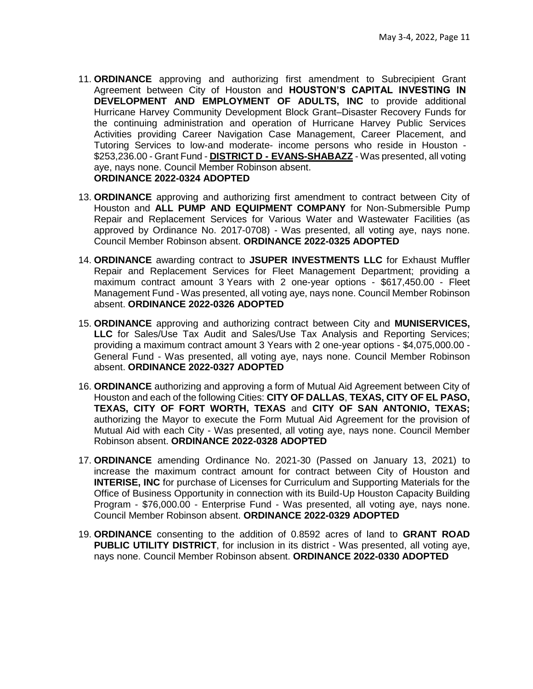- 11. **ORDINANCE** approving and authorizing first amendment to Subrecipient Grant Agreement between City of Houston and **HOUSTON'S CAPITAL INVESTING IN DEVELOPMENT AND EMPLOYMENT OF ADULTS, INC** to provide additional Hurricane Harvey Community Development Block Grant–Disaster Recovery Funds for the continuing administration and operation of Hurricane Harvey Public Services Activities providing Career Navigation Case Management, Career Placement, and Tutoring Services to low-and moderate- income persons who reside in Houston - \$253,236.00 - Grant Fund - **DISTRICT D - EVANS-SHABAZZ** - Was presented, all voting aye, nays none. Council Member Robinson absent. **ORDINANCE 2022-0324 ADOPTED**
- 13. **ORDINANCE** approving and authorizing first amendment to contract between City of Houston and **ALL PUMP AND EQUIPMENT COMPANY** for Non-Submersible Pump Repair and Replacement Services for Various Water and Wastewater Facilities (as approved by Ordinance No. 2017-0708) - Was presented, all voting aye, nays none. Council Member Robinson absent. **ORDINANCE 2022-0325 ADOPTED**
- 14. **ORDINANCE** awarding contract to **JSUPER INVESTMENTS LLC** for Exhaust Muffler Repair and Replacement Services for Fleet Management Department; providing a maximum contract amount 3 Years with 2 one-year options - \$617,450.00 - Fleet Management Fund - Was presented, all voting aye, nays none. Council Member Robinson absent. **ORDINANCE 2022-0326 ADOPTED**
- 15. **ORDINANCE** approving and authorizing contract between City and **MUNISERVICES, LLC** for Sales/Use Tax Audit and Sales/Use Tax Analysis and Reporting Services; providing a maximum contract amount 3 Years with 2 one-year options - \$4,075,000.00 - General Fund - Was presented, all voting aye, nays none. Council Member Robinson absent. **ORDINANCE 2022-0327 ADOPTED**
- 16. **ORDINANCE** authorizing and approving a form of Mutual Aid Agreement between City of Houston and each of the following Cities: **CITY OF DALLAS**, **TEXAS, CITY OF EL PASO, TEXAS, CITY OF FORT WORTH, TEXAS** and **CITY OF SAN ANTONIO, TEXAS;**  authorizing the Mayor to execute the Form Mutual Aid Agreement for the provision of Mutual Aid with each City - Was presented, all voting aye, nays none. Council Member Robinson absent. **ORDINANCE 2022-0328 ADOPTED**
- 17. **ORDINANCE** amending Ordinance No. 2021-30 (Passed on January 13, 2021) to increase the maximum contract amount for contract between City of Houston and **INTERISE, INC** for purchase of Licenses for Curriculum and Supporting Materials for the Office of Business Opportunity in connection with its Build-Up Houston Capacity Building Program - \$76,000.00 - Enterprise Fund - Was presented, all voting aye, nays none. Council Member Robinson absent. **ORDINANCE 2022-0329 ADOPTED**
- 19. **ORDINANCE** consenting to the addition of 0.8592 acres of land to **GRANT ROAD PUBLIC UTILITY DISTRICT**, for inclusion in its district - Was presented, all voting aye, nays none. Council Member Robinson absent. **ORDINANCE 2022-0330 ADOPTED**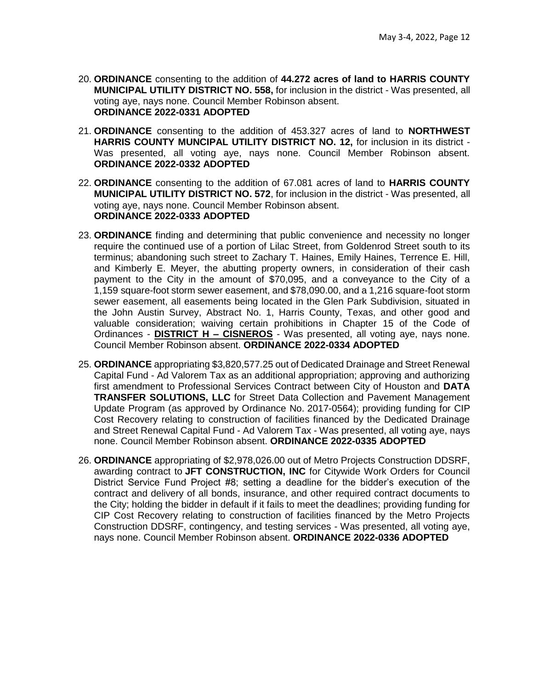- 20. **ORDINANCE** consenting to the addition of **44.272 acres of land to HARRIS COUNTY MUNICIPAL UTILITY DISTRICT NO. 558,** for inclusion in the district - Was presented, all voting aye, nays none. Council Member Robinson absent. **ORDINANCE 2022-0331 ADOPTED**
- 21. **ORDINANCE** consenting to the addition of 453.327 acres of land to **NORTHWEST HARRIS COUNTY MUNCIPAL UTILITY DISTRICT NO. 12,** for inclusion in its district - Was presented, all voting aye, nays none. Council Member Robinson absent. **ORDINANCE 2022-0332 ADOPTED**
- 22. **ORDINANCE** consenting to the addition of 67.081 acres of land to **HARRIS COUNTY MUNICIPAL UTILITY DISTRICT NO. 572**, for inclusion in the district - Was presented, all voting aye, nays none. Council Member Robinson absent. **ORDINANCE 2022-0333 ADOPTED**
- 23. **ORDINANCE** finding and determining that public convenience and necessity no longer require the continued use of a portion of Lilac Street, from Goldenrod Street south to its terminus; abandoning such street to Zachary T. Haines, Emily Haines, Terrence E. Hill, and Kimberly E. Meyer, the abutting property owners, in consideration of their cash payment to the City in the amount of \$70,095, and a conveyance to the City of a 1,159 square-foot storm sewer easement, and \$78,090.00, and a 1,216 square-foot storm sewer easement, all easements being located in the Glen Park Subdivision, situated in the John Austin Survey, Abstract No. 1, Harris County, Texas, and other good and valuable consideration; waiving certain prohibitions in Chapter 15 of the Code of Ordinances - **DISTRICT H – CISNEROS** - Was presented, all voting aye, nays none. Council Member Robinson absent. **ORDINANCE 2022-0334 ADOPTED**
- 25. **ORDINANCE** appropriating \$3,820,577.25 out of Dedicated Drainage and Street Renewal Capital Fund - Ad Valorem Tax as an additional appropriation; approving and authorizing first amendment to Professional Services Contract between City of Houston and **DATA TRANSFER SOLUTIONS, LLC** for Street Data Collection and Pavement Management Update Program (as approved by Ordinance No. 2017-0564); providing funding for CIP Cost Recovery relating to construction of facilities financed by the Dedicated Drainage and Street Renewal Capital Fund - Ad Valorem Tax - Was presented, all voting aye, nays none. Council Member Robinson absent. **ORDINANCE 2022-0335 ADOPTED**
- 26. **ORDINANCE** appropriating of \$2,978,026.00 out of Metro Projects Construction DDSRF, awarding contract to **JFT CONSTRUCTION, INC** for Citywide Work Orders for Council District Service Fund Project #8; setting a deadline for the bidder's execution of the contract and delivery of all bonds, insurance, and other required contract documents to the City; holding the bidder in default if it fails to meet the deadlines; providing funding for CIP Cost Recovery relating to construction of facilities financed by the Metro Projects Construction DDSRF, contingency, and testing services - Was presented, all voting aye, nays none. Council Member Robinson absent. **ORDINANCE 2022-0336 ADOPTED**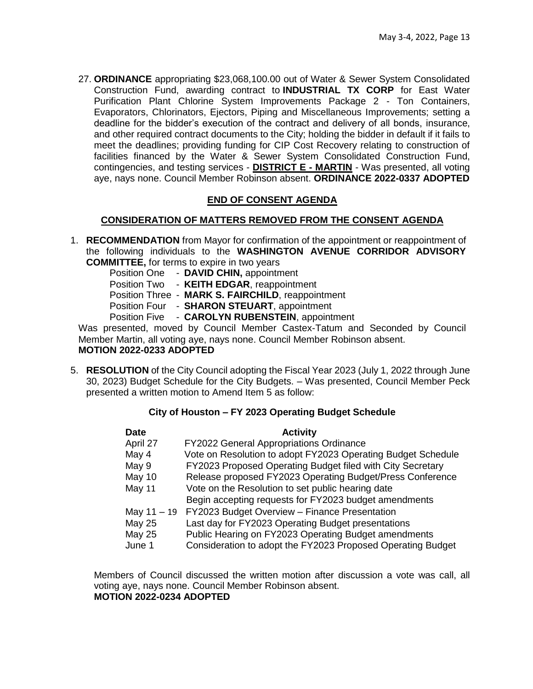27. **ORDINANCE** appropriating \$23,068,100.00 out of Water & Sewer System Consolidated Construction Fund, awarding contract to **INDUSTRIAL TX CORP** for East Water Purification Plant Chlorine System Improvements Package 2 - Ton Containers, Evaporators, Chlorinators, Ejectors, Piping and Miscellaneous Improvements; setting a deadline for the bidder's execution of the contract and delivery of all bonds, insurance, and other required contract documents to the City; holding the bidder in default if it fails to meet the deadlines; providing funding for CIP Cost Recovery relating to construction of facilities financed by the Water & Sewer System Consolidated Construction Fund, contingencies, and testing services - **DISTRICT E - MARTIN** - Was presented, all voting aye, nays none. Council Member Robinson absent. **ORDINANCE 2022-0337 ADOPTED**

# **END OF CONSENT AGENDA**

## **CONSIDERATION OF MATTERS REMOVED FROM THE CONSENT AGENDA**

1. **RECOMMENDATION** from Mayor for confirmation of the appointment or reappointment of the following individuals to the **WASHINGTON AVENUE CORRIDOR ADVISORY COMMITTEE,** for terms to expire in two years

| <b>Position One</b> | - DAVID CHIN, appointment                         |
|---------------------|---------------------------------------------------|
|                     | Position Two - KEITH EDGAR, reappointment         |
|                     | Position Three - MARK S. FAIRCHILD, reappointment |
|                     | Position Four - SHARON STEUART, appointment       |
|                     | Position Five - CAROLYN RUBENSTEIN, appointment   |
|                     | resented moved by Council Member Castex-Tatum a   |

Was presented, moved by Council Member Castex-Tatum and Seconded by Council Member Martin, all voting aye, nays none. Council Member Robinson absent. **MOTION 2022-0233 ADOPTED** 

5. **RESOLUTION** of the City Council adopting the Fiscal Year 2023 (July 1, 2022 through June 30, 2023) Budget Schedule for the City Budgets. – Was presented, Council Member Peck presented a written motion to Amend Item 5 as follow:

## **City of Houston – FY 2023 Operating Budget Schedule**

| <b>Date</b>   | <b>Activity</b>                                              |
|---------------|--------------------------------------------------------------|
| April 27      | <b>FY2022 General Appropriations Ordinance</b>               |
| May 4         | Vote on Resolution to adopt FY2023 Operating Budget Schedule |
| May 9         | FY2023 Proposed Operating Budget filed with City Secretary   |
| May 10        | Release proposed FY2023 Operating Budget/Press Conference    |
| <b>May 11</b> | Vote on the Resolution to set public hearing date            |
|               | Begin accepting requests for FY2023 budget amendments        |
| May 11 - 19   | FY2023 Budget Overview - Finance Presentation                |
| <b>May 25</b> | Last day for FY2023 Operating Budget presentations           |
| <b>May 25</b> | Public Hearing on FY2023 Operating Budget amendments         |
| June 1        | Consideration to adopt the FY2023 Proposed Operating Budget  |
|               |                                                              |

Members of Council discussed the written motion after discussion a vote was call, all voting aye, nays none. Council Member Robinson absent. **MOTION 2022-0234 ADOPTED**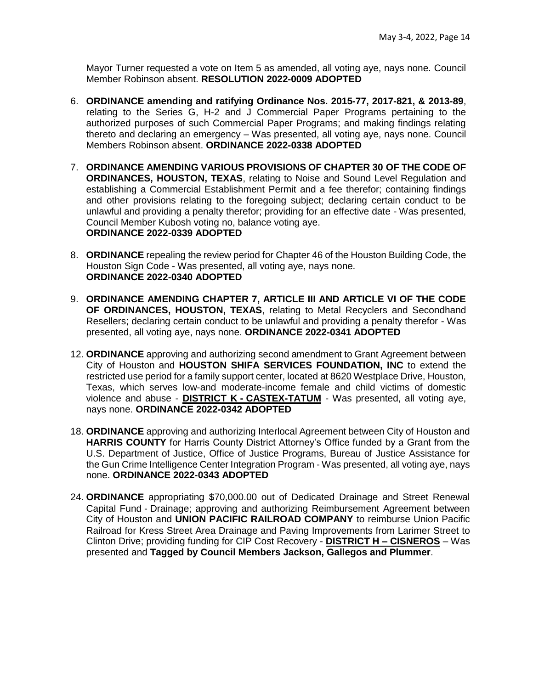Mayor Turner requested a vote on Item 5 as amended, all voting aye, nays none. Council Member Robinson absent. **RESOLUTION 2022-0009 ADOPTED**

- 6. **ORDINANCE amending and ratifying Ordinance Nos. 2015-77, 2017-821, & 2013-89**, relating to the Series G, H-2 and J Commercial Paper Programs pertaining to the authorized purposes of such Commercial Paper Programs; and making findings relating thereto and declaring an emergency – Was presented, all voting aye, nays none. Council Members Robinson absent. **ORDINANCE 2022-0338 ADOPTED**
- 7. **ORDINANCE AMENDING VARIOUS PROVISIONS OF CHAPTER 30 OF THE CODE OF ORDINANCES, HOUSTON, TEXAS**, relating to Noise and Sound Level Regulation and establishing a Commercial Establishment Permit and a fee therefor; containing findings and other provisions relating to the foregoing subject; declaring certain conduct to be unlawful and providing a penalty therefor; providing for an effective date - Was presented, Council Member Kubosh voting no, balance voting aye. **ORDINANCE 2022-0339 ADOPTED**
- 8. **ORDINANCE** repealing the review period for Chapter 46 of the Houston Building Code, the Houston Sign Code - Was presented, all voting aye, nays none. **ORDINANCE 2022-0340 ADOPTED**
- 9. **ORDINANCE AMENDING CHAPTER 7, ARTICLE III AND ARTICLE VI OF THE CODE OF ORDINANCES, HOUSTON, TEXAS**, relating to Metal Recyclers and Secondhand Resellers; declaring certain conduct to be unlawful and providing a penalty therefor - Was presented, all voting aye, nays none. **ORDINANCE 2022-0341 ADOPTED**
- 12. **ORDINANCE** approving and authorizing second amendment to Grant Agreement between City of Houston and **HOUSTON SHIFA SERVICES FOUNDATION, INC** to extend the restricted use period for a family support center, located at 8620 Westplace Drive, Houston, Texas, which serves low-and moderate-income female and child victims of domestic violence and abuse - **DISTRICT K - CASTEX-TATUM** - Was presented, all voting aye, nays none. **ORDINANCE 2022-0342 ADOPTED**
- 18. **ORDINANCE** approving and authorizing Interlocal Agreement between City of Houston and **HARRIS COUNTY** for Harris County District Attorney's Office funded by a Grant from the U.S. Department of Justice, Office of Justice Programs, Bureau of Justice Assistance for the Gun Crime Intelligence Center Integration Program - Was presented, all voting aye, nays none. **ORDINANCE 2022-0343 ADOPTED**
- 24. **ORDINANCE** appropriating \$70,000.00 out of Dedicated Drainage and Street Renewal Capital Fund - Drainage; approving and authorizing Reimbursement Agreement between City of Houston and **UNION PACIFIC RAILROAD COMPANY** to reimburse Union Pacific Railroad for Kress Street Area Drainage and Paving Improvements from Larimer Street to Clinton Drive; providing funding for CIP Cost Recovery - **DISTRICT H – CISNEROS** – Was presented and **Tagged by Council Members Jackson, Gallegos and Plummer**.